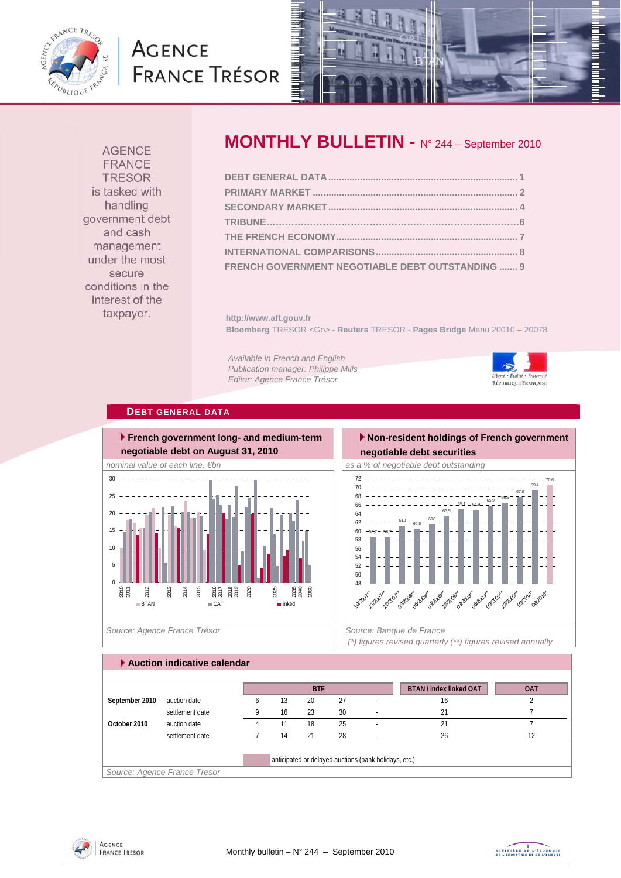

## **AGENCE FRANCE TRÉSOR**



**AGENCE FRANCE TRESOR** is tasked with handling government debt and cash management under the most secure conditions in the interest of the taxpayer.

### **MONTHLY BULLETIN -** N° 244 – September 2010

**http://www.aft.gouv.fr Bloomberg** TRESOR <Go> - **Reuters** TRESOR - **Pages Bridge** Menu 20010 – 20078

*Available in French and English Publication manager: Philippe Mills Editor: Agence France Trésor* 



**DEBT GENERAL DATA**



 $-58,7 - 58,7$  $\frac{613}{5} - 60,5$ 61,6 63,5  $65,1 - 64,9$  $\frac{1}{65,9}$  -66,5 67,9 69,4 70,6 60 62 64 66 68 70 72

**negotiable debt securities** 

 **Non-resident holdings of French government** 



 *(\*) figures revised quarterly (\*\*) figures revised annually* 

| Auction indicative calendar |                              |   |    |            |    |                                                       |                                |            |
|-----------------------------|------------------------------|---|----|------------|----|-------------------------------------------------------|--------------------------------|------------|
|                             |                              |   |    |            |    |                                                       |                                |            |
|                             |                              |   |    | <b>BTF</b> |    |                                                       | <b>BTAN / index linked OAT</b> | <b>OAT</b> |
| September 2010              | auction date                 | h | 13 | 20         | 27 |                                                       | 16                             |            |
|                             | settlement date              |   | 16 | 23         | 30 |                                                       | 21                             |            |
| October 2010                | auction date                 | 4 |    | 18         | 25 | ٠                                                     | 21                             |            |
|                             | settlement date              |   | 14 | 21         | 28 | <b>.</b>                                              | 26                             | 12         |
|                             |                              |   |    |            |    |                                                       |                                |            |
|                             |                              |   |    |            |    | anticipated or delayed auctions (bank holidays, etc.) |                                |            |
|                             | Source: Agence France Trésor |   |    |            |    |                                                       |                                |            |



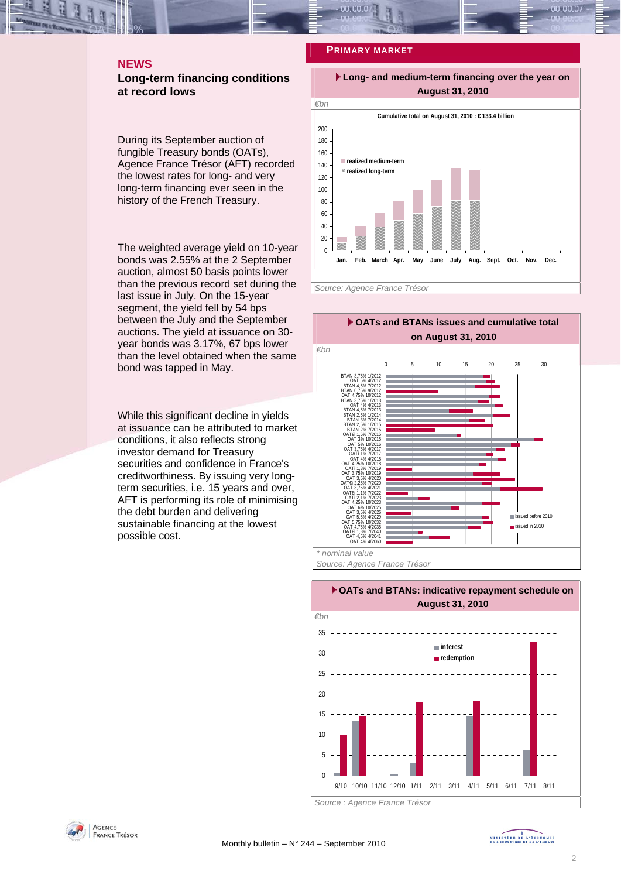# **PRIMARY MARKET**

### **NEWS Long-term financing conditions at record lows**

During its September auction of fungible Treasury bonds (OATs), Agence France Trésor (AFT) recorded the lowest rates for long- and very long-term financing ever seen in the history of the French Treasury.

The weighted average yield on 10-year bonds was 2.55% at the 2 September auction, almost 50 basis points lower than the previous record set during the last issue in July. On the 15-year segment, the yield fell by 54 bps between the July and the September auctions. The yield at issuance on 30 year bonds was 3.17%, 67 bps lower than the level obtained when the same bond was tapped in May.

While this significant decline in yields at issuance can be attributed to market conditions, it also reflects strong investor demand for Treasury securities and confidence in France's creditworthiness. By issuing very longterm securities, i.e. 15 years and over, AFT is performing its role of minimising the debt burden and delivering sustainable financing at the lowest possible cost.



 **Long- and medium-term financing over the year on** 

*Source: Agence France Trésor* 





### **AGENCE FRANCE TRÉSOR**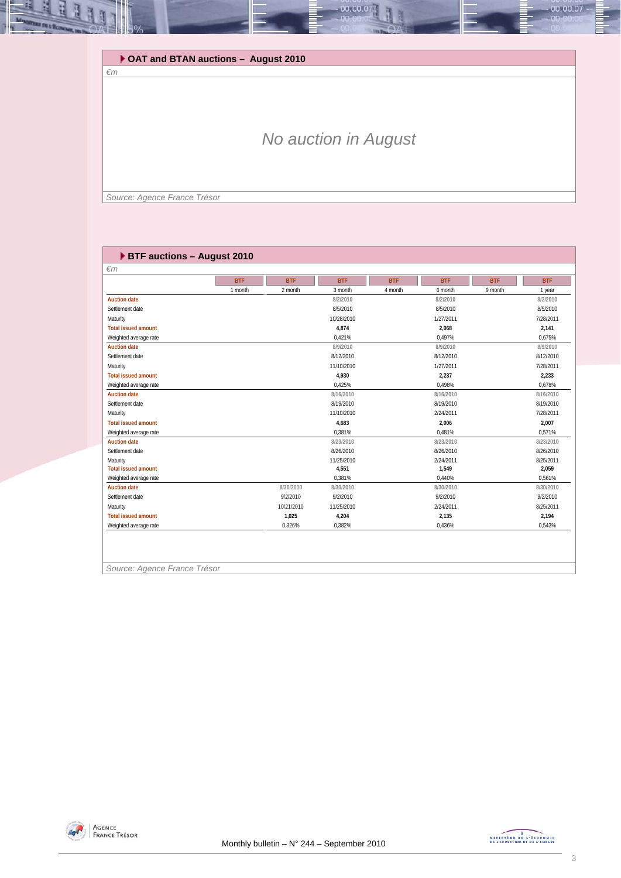

### *No auction in August*

*Source: Agence France Trésor* 

| <b>BTF auctions - August 2010</b> |            |            |            |            |            |            |            |  |  |
|-----------------------------------|------------|------------|------------|------------|------------|------------|------------|--|--|
| $\epsilon$ m                      |            |            |            |            |            |            |            |  |  |
|                                   | <b>BTF</b> | <b>BTF</b> | <b>BTF</b> | <b>BTF</b> | <b>BTF</b> | <b>BTF</b> | <b>BTF</b> |  |  |
|                                   | 1 month    | 2 month    | 3 month    | 4 month    | 6 month    | 9 month    | 1 year     |  |  |
| <b>Auction date</b>               |            |            | 8/2/2010   |            | 8/2/2010   |            | 8/2/2010   |  |  |
| Settlement date                   |            |            | 8/5/2010   |            | 8/5/2010   |            | 8/5/2010   |  |  |
| Maturity                          |            |            | 10/28/2010 |            | 1/27/2011  |            | 7/28/2011  |  |  |
| <b>Total issued amount</b>        |            |            | 4.874      |            | 2.068      |            | 2.141      |  |  |
| Weighted average rate             |            |            | 0,421%     |            | 0,497%     |            | 0,675%     |  |  |
| <b>Auction date</b>               |            |            | 8/9/2010   |            | 8/9/2010   |            | 8/9/2010   |  |  |
| Settlement date                   |            |            | 8/12/2010  |            | 8/12/2010  |            | 8/12/2010  |  |  |
| Maturity                          |            |            | 11/10/2010 |            | 1/27/2011  |            | 7/28/2011  |  |  |
| <b>Total issued amount</b>        |            |            | 4.930      |            | 2,237      |            | 2,233      |  |  |
| Weighted average rate             |            |            | 0,425%     |            | 0,498%     |            | 0,678%     |  |  |
| <b>Auction date</b>               |            |            | 8/16/2010  |            | 8/16/2010  |            | 8/16/2010  |  |  |
| Settlement date                   |            |            | 8/19/2010  |            | 8/19/2010  |            | 8/19/2010  |  |  |
| Maturity                          |            |            | 11/10/2010 |            | 2/24/2011  |            | 7/28/2011  |  |  |
| <b>Total issued amount</b>        |            |            | 4.683      |            | 2.006      |            | 2.007      |  |  |
| Weighted average rate             |            |            | 0.381%     |            | 0,481%     |            | 0,571%     |  |  |
| <b>Auction date</b>               |            |            | 8/23/2010  |            | 8/23/2010  |            | 8/23/2010  |  |  |
| Settlement date                   |            |            | 8/26/2010  |            | 8/26/2010  |            | 8/26/2010  |  |  |
| Maturity                          |            |            | 11/25/2010 |            | 2/24/2011  |            | 8/25/2011  |  |  |
| <b>Total issued amount</b>        |            |            | 4.551      |            | 1.549      |            | 2,059      |  |  |
| Weighted average rate             |            |            | 0,381%     |            | 0.440%     |            | 0,561%     |  |  |
| <b>Auction date</b>               |            | 8/30/2010  | 8/30/2010  |            | 8/30/2010  |            | 8/30/2010  |  |  |
| Settlement date                   |            | 9/2/2010   | 9/2/2010   |            | 9/2/2010   |            | 9/2/2010   |  |  |
| Maturity                          |            | 10/21/2010 | 11/25/2010 |            | 2/24/2011  |            | 8/25/2011  |  |  |
| <b>Total issued amount</b>        |            | 1,025      | 4,204      |            | 2,135      |            | 2,194      |  |  |
| Weighted average rate             |            | 0,326%     | 0,382%     |            | 0,436%     |            | 0,543%     |  |  |
|                                   |            |            |            |            |            |            |            |  |  |

*Source: Agence France Trésor* 

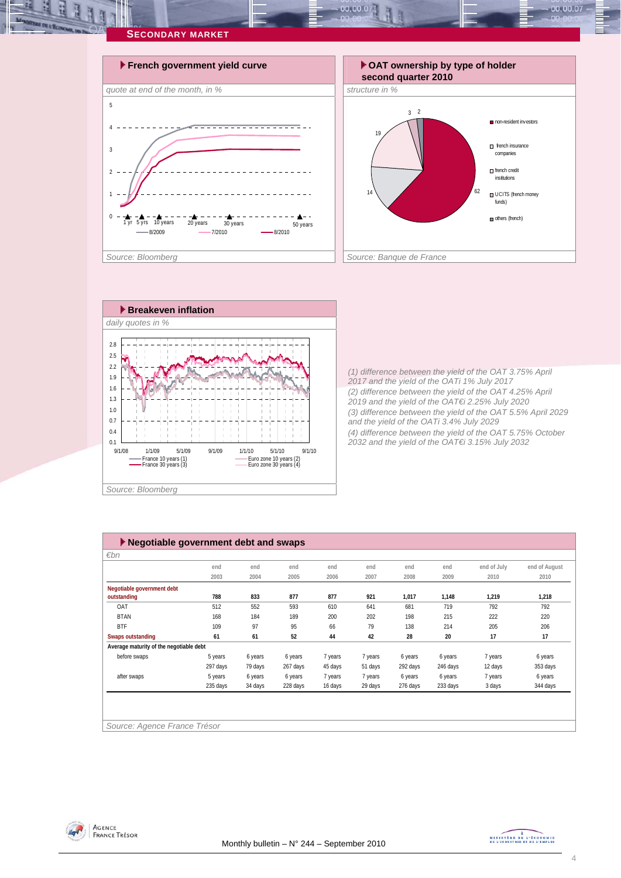

 $0.00, 00.0$ 



*(1) difference between the yield of the OAT 3.75% April 2017 and the yield of the OATi 1% July 2017 (2) difference between the yield of the OAT 4.25% April 2019 and the yield of the OAT€i 2.25% July 2020 (3) difference between the yield of the OAT 5.5% April 2029 and the yield of the OATi 3.4% July 2029 (4) difference between the yield of the OAT 5.75% October 2032 and the yield of the OAT€i 3.15% July 2032* 

companies

 $00.00.07$ 

institutions

funds)

|                                         | end      | end     | end      | end     | end     | end      | end      | end of July | end of August |
|-----------------------------------------|----------|---------|----------|---------|---------|----------|----------|-------------|---------------|
|                                         | 2003     | 2004    | 2005     | 2006    | 2007    | 2008     | 2009     | 2010        | 2010          |
| Negotiable government debt              |          |         |          |         |         |          |          |             |               |
| outstanding                             | 788      | 833     | 877      | 877     | 921     | 1,017    | 1,148    | 1,219       | 1,218         |
| OAT                                     | 512      | 552     | 593      | 610     | 641     | 681      | 719      | 792         | 792           |
| <b>BTAN</b>                             | 168      | 184     | 189      | 200     | 202     | 198      | 215      | 222         | 220           |
| <b>BTF</b>                              | 109      | 97      | 95       | 66      | 79      | 138      | 214      | 205         | 206           |
| <b>Swaps outstanding</b>                | 61       | 61      | 52       | 44      | 42      | 28       | 20       | 17          | 17            |
| Average maturity of the negotiable debt |          |         |          |         |         |          |          |             |               |
| before swaps                            | 5 years  | 6 years | 6 years  | 7 years | 7 years | 6 years  | 6 years  | 7 years     | 6 years       |
|                                         | 297 days | 79 days | 267 days | 45 days | 51 days | 292 days | 246 days | 12 days     | 353 days      |
| after swaps                             | 5 years  | 6 years | 6 years  | 7 years | 7 years | 6 years  | 6 years  | 7 years     | 6 years       |
|                                         | 235 days | 34 days | 228 days | 16 days | 29 days | 276 days | 233 days | 3 days      | 344 days      |



MINISTRE DE L'ÉCONOMIE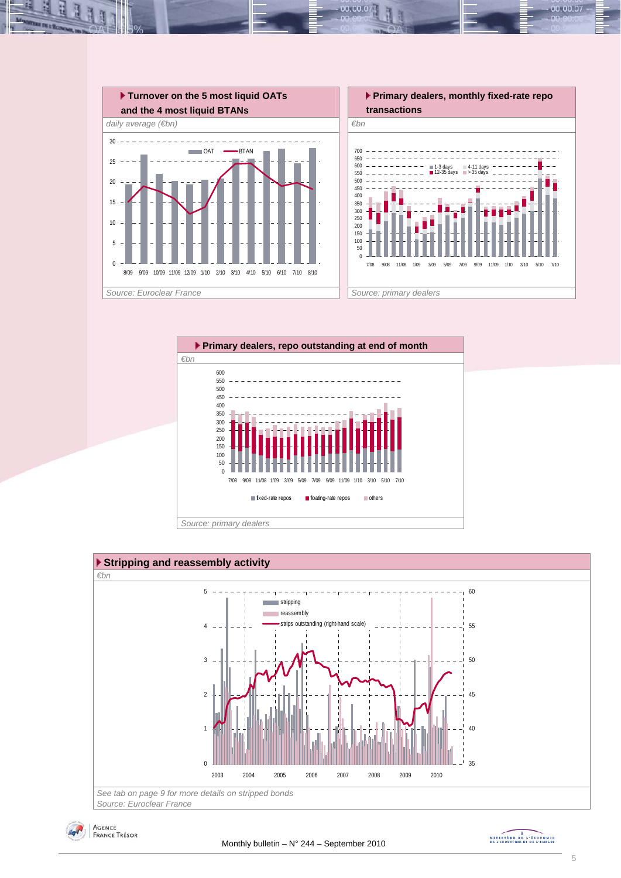

 $00.00.0$ 







MINISTRE DE L'ÉCONOMIE

00.00.07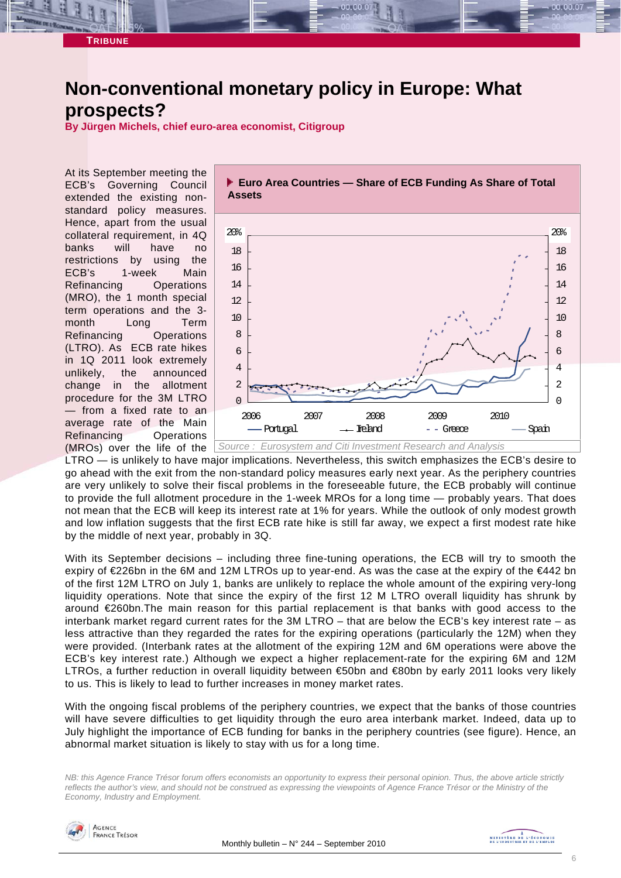

### **Non-conventional monetary policy in Europe: What prospects?**

**By Jürgen Michels, chief euro-area economist, Citigroup** 

At its September meeting the ECB's Governing Council extended the existing nonstandard policy measures. Hence, apart from the usual collateral requirement, in 4Q banks will have no restrictions by using the ECB's 1-week Main Refinancing Operations (MRO), the 1 month special term operations and the 3 month Long Term Refinancing Operations (LTRO). As ECB rate hikes in 1Q 2011 look extremely unlikely, the announced change in the allotment procedure for the 3M LTRO — from a fixed rate to an average rate of the Main Refinancing Operations (MROs) over the life of the



LTRO — is unlikely to have major implications. Nevertheless, this switch emphasizes the ECB's desire to go ahead with the exit from the non-standard policy measures early next year. As the periphery countries are very unlikely to solve their fiscal problems in the foreseeable future, the ECB probably will continue to provide the full allotment procedure in the 1-week MROs for a long time — probably years. That does not mean that the ECB will keep its interest rate at 1% for years. While the outlook of only modest growth and low inflation suggests that the first ECB rate hike is still far away, we expect a first modest rate hike by the middle of next year, probably in 3Q.

With its September decisions – including three fine-tuning operations, the ECB will try to smooth the expiry of €226bn in the 6M and 12M LTROs up to year-end. As was the case at the expiry of the €442 bn of the first 12M LTRO on July 1, banks are unlikely to replace the whole amount of the expiring very-long liquidity operations. Note that since the expiry of the first 12 M LTRO overall liquidity has shrunk by around €260bn.The main reason for this partial replacement is that banks with good access to the interbank market regard current rates for the 3M LTRO – that are below the ECB's key interest rate – as less attractive than they regarded the rates for the expiring operations (particularly the 12M) when they were provided. (Interbank rates at the allotment of the expiring 12M and 6M operations were above the ECB's key interest rate.) Although we expect a higher replacement-rate for the expiring 6M and 12M LTROs, a further reduction in overall liquidity between €50bn and €80bn by early 2011 looks very likely to us. This is likely to lead to further increases in money market rates.

With the ongoing fiscal problems of the periphery countries, we expect that the banks of those countries will have severe difficulties to get liquidity through the euro area interbank market. Indeed, data up to July highlight the importance of ECB funding for banks in the periphery countries (see figure). Hence, an abnormal market situation is likely to stay with us for a long time.

*NB: this Agence France Trésor forum offers economists an opportunity to express their personal opinion. Thus, the above article strictly reflects the author's view, and should not be construed as expressing the viewpoints of Agence France Trésor or the Ministry of the Economy, Industry and Employment.* 

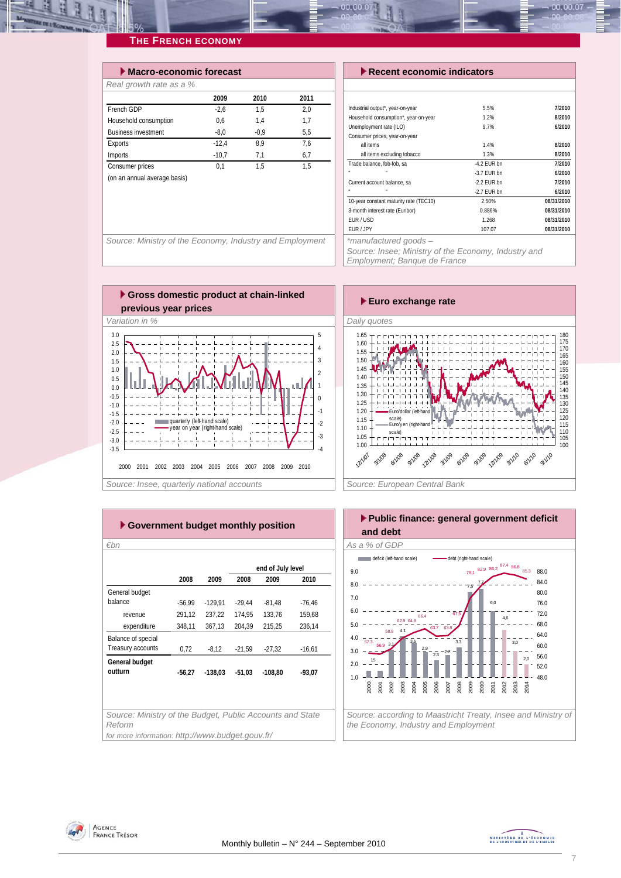### **THE FRENCH ECONOMY**

| $\blacktriangleright$ Macro-economic forecast |         |        |      |
|-----------------------------------------------|---------|--------|------|
| Real growth rate as a %                       |         |        |      |
|                                               | 2009    | 2010   | 2011 |
| French GDP                                    | $-2.6$  | 1.5    | 2.0  |
| Household consumption                         | 0.6     | 1.4    | 1,7  |
| <b>Business investment</b>                    | $-8.0$  | $-0.9$ | 5,5  |
| Exports                                       | $-12.4$ | 8.9    | 7.6  |
| Imports                                       | $-10,7$ | 7,1    | 6,7  |
| Consumer prices                               | 0.1     | 1.5    | 1.5  |
| (on an annual average basis)                  |         |        |      |
|                                               |         |        |      |

#### *Execent economic indicators*

| Industrial output*, year-on-year             | 5.5%          | 7/2010     |
|----------------------------------------------|---------------|------------|
| Household consumption*, year-on-year         | 1.2%          | 8/2010     |
| Unemployment rate (ILO)                      | 9.7%          | 6/2010     |
| Consumer prices, year-on-year                |               |            |
| all items                                    | 1.4%          | 8/2010     |
| all items excluding tobacco                  | 1.3%          | 8/2010     |
| Trade balance, fob-fob, sa                   | $-4.2$ FUR bn | 7/2010     |
| m.<br>٠                                      | $-3.7$ FUR bn | 6/2010     |
| Current account balance, sa                  | -2.2 FUR bn   | 7/2010     |
|                                              | $-2.7$ FUR bn | 6/2010     |
| 10-year constant maturity rate (TEC10)       | 2.50%         | 08/31/2010 |
| 3-month interest rate (Euribor)              | 0.886%        | 08/31/2010 |
| EUR/USD                                      | 1.268         | 08/31/2010 |
| EUR / JPY                                    | 107.07        | 08/31/2010 |
| the second set of the set of the set of some |               |            |

00.00.07

Source: Ministry of the Economy, Industry and Employment | | \*manufactured goods –

*Source: Insee; Ministry of the Economy, Industry and* 

*Employment; Banque de France* 





| ► Government budget monthly position                                |                   |           |          |           |          |  |  |  |  |
|---------------------------------------------------------------------|-------------------|-----------|----------|-----------|----------|--|--|--|--|
| €bn                                                                 |                   |           |          |           |          |  |  |  |  |
|                                                                     | end of July level |           |          |           |          |  |  |  |  |
|                                                                     | 2008              | 2009      | 2008     | 2009      | 2010     |  |  |  |  |
| General budget                                                      |                   |           |          |           |          |  |  |  |  |
| balance                                                             | $-56,99$          | $-129,91$ | $-29,44$ | $-81,48$  | $-76,46$ |  |  |  |  |
| revenue                                                             | 291,12            | 237,22    | 174.95   | 133.76    | 159.68   |  |  |  |  |
| expenditure                                                         | 348,11            | 367,13    | 204,39   | 215.25    | 236,14   |  |  |  |  |
| Balance of special                                                  |                   |           |          |           |          |  |  |  |  |
| Treasury accounts                                                   | 0,72              | $-8,12$   | $-21,59$ | $-27,32$  | $-16,61$ |  |  |  |  |
| General budget                                                      |                   |           |          |           |          |  |  |  |  |
| outturn                                                             | $-56,27$          | $-138,03$ | $-51,03$ | $-108,80$ | $-93,07$ |  |  |  |  |
|                                                                     |                   |           |          |           |          |  |  |  |  |
|                                                                     |                   |           |          |           |          |  |  |  |  |
|                                                                     |                   |           |          |           |          |  |  |  |  |
| Source: Ministry of the Budget, Public Accounts and State<br>Reform |                   |           |          |           |          |  |  |  |  |
| for more information: http://www.budget.gouv.fr/                    |                   |           |          |           |          |  |  |  |  |



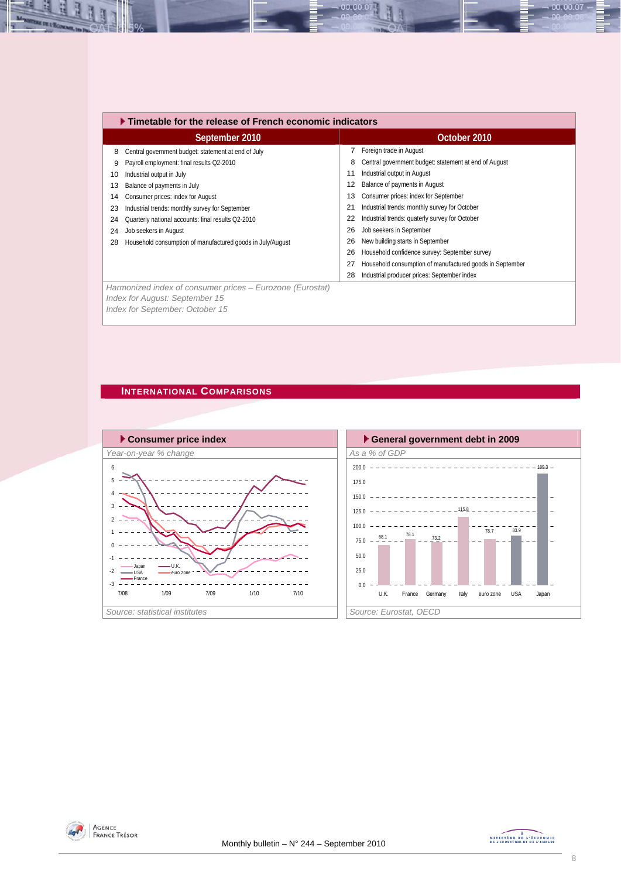|                                                | $\blacktriangleright$ Timetable for the release of French economic indicators |    |                                                          |  |  |  |  |  |  |
|------------------------------------------------|-------------------------------------------------------------------------------|----|----------------------------------------------------------|--|--|--|--|--|--|
|                                                | September 2010                                                                |    | October 2010                                             |  |  |  |  |  |  |
| 8                                              | Central government budget: statement at end of July                           |    | Foreign trade in August                                  |  |  |  |  |  |  |
| Payroll employment: final results Q2-2010<br>9 |                                                                               | 8  | Central government budget: statement at end of August    |  |  |  |  |  |  |
| Industrial output in July<br>10                |                                                                               | 11 | Industrial output in August                              |  |  |  |  |  |  |
| Balance of payments in July<br>13              |                                                                               | 12 | Balance of payments in August                            |  |  |  |  |  |  |
| Consumer prices: index for August<br>14        |                                                                               | 13 | Consumer prices: index for September                     |  |  |  |  |  |  |
| 23                                             | Industrial trends: monthly survey for September                               | 21 | Industrial trends: monthly survey for October            |  |  |  |  |  |  |
| 24                                             | Quarterly national accounts: final results Q2-2010                            | 22 | Industrial trends: quaterly survey for October           |  |  |  |  |  |  |
| Job seekers in August<br>24                    |                                                                               | 26 | Job seekers in September                                 |  |  |  |  |  |  |
| 28                                             | Household consumption of manufactured goods in July/August                    | 26 | New building starts in September                         |  |  |  |  |  |  |
|                                                |                                                                               | 26 | Household confidence survey: September survey            |  |  |  |  |  |  |
|                                                |                                                                               | 27 | Household consumption of manufactured goods in September |  |  |  |  |  |  |
|                                                |                                                                               | 28 | Industrial producer prices: September index              |  |  |  |  |  |  |
| Index for August: September 15                 | Harmonized index of consumer prices - Eurozone (Eurostat)                     |    |                                                          |  |  |  |  |  |  |

00.00.07

### **INTERNATIONAL COMPARISONS**

*Index for September: October 15* 

즤 H

Ŀ







00.00.07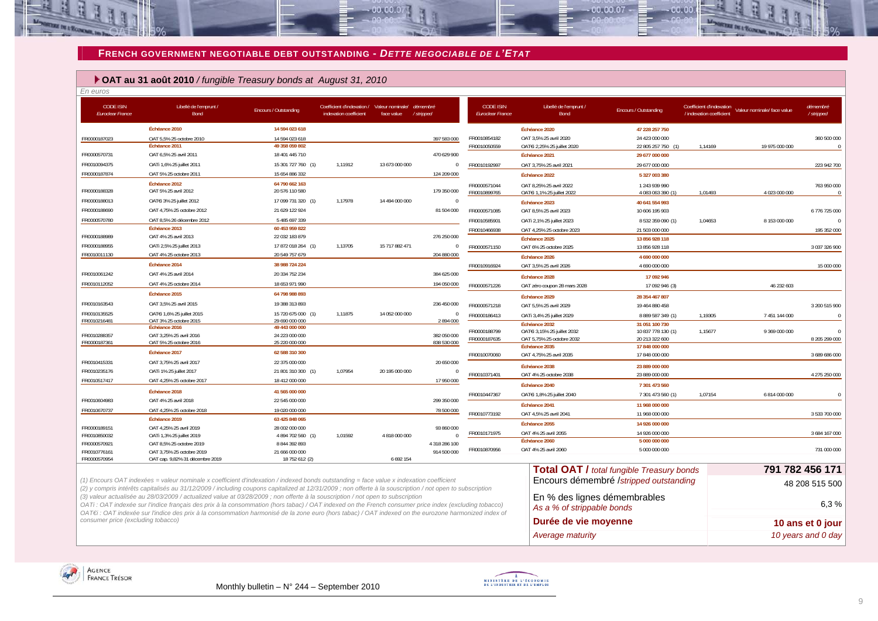#### **FRENCH GOVERNMENT NEGOTIABLE DEBT OUTSTANDING -** *DETTE NEGOCIABLE DE L'ETAT*

an an a

### **OAT au 31 août 2010** */ fungible Treasury bonds at August 31, 2010*

| En euros                                    |                                                                                                                                                                                                                                                                                                      |                                  |                                                                                |                |                            |                                             |                                            |                                                  |                                                      |                             |                        |
|---------------------------------------------|------------------------------------------------------------------------------------------------------------------------------------------------------------------------------------------------------------------------------------------------------------------------------------------------------|----------------------------------|--------------------------------------------------------------------------------|----------------|----------------------------|---------------------------------------------|--------------------------------------------|--------------------------------------------------|------------------------------------------------------|-----------------------------|------------------------|
| <b>CODE ISIN</b><br><b>Euroclear France</b> | Libellé de l'emprunt /<br>Bond                                                                                                                                                                                                                                                                       | Encours / Outstanding            | Coefficient d'indexation / Valeur nominale/ démembre<br>indexation coefficient | face value     | / stripped                 | <b>CODE ISIN</b><br><b>Euroclear France</b> | Libellé de l'emprunt /<br>Bond             | Encours / Outstanding                            | Coefficient d'indexation<br>/ indexation coefficient | Valeur nominale/ face value | démembré<br>/ stripped |
|                                             | Échéance 2010                                                                                                                                                                                                                                                                                        | 14 594 023 618                   |                                                                                |                |                            |                                             | Échéance 2020                              | 47 228 257 750                                   |                                                      |                             |                        |
| FR0000187023                                | OAT 5,5% 25 octobre 2010                                                                                                                                                                                                                                                                             | 14 594 023 618                   |                                                                                |                | 397 583 000                | FR0010854182                                | OAT 3,5% 25 avril 2020                     | 24 423 000 000                                   |                                                      |                             | 360 500 000            |
|                                             | Échéance 2011                                                                                                                                                                                                                                                                                        | 49 358 059 802                   |                                                                                |                |                            | FR0010050559                                | OATEI 2.25% 25 juillet 2020                | 22 805 257 750<br>(1)                            | 1.14169                                              | 19 975 000 000              | $\sqrt{ }$             |
| FR0000570731                                | OAT 6,5% 25 avril 2011                                                                                                                                                                                                                                                                               | 18 401 445 710                   |                                                                                |                | 470 629 900                |                                             | Échéance 2021                              | 29 677 000 000                                   |                                                      |                             |                        |
| FR0010094375                                | OATi 1,6% 25 juillet 2011                                                                                                                                                                                                                                                                            | 15 301 727 760 (1)               | 1,11912                                                                        | 13 673 000 000 | $\Omega$                   | FR0010192997                                | OAT 3,75% 25 avril 2021                    | 29 677 000 000                                   |                                                      |                             | 223 942 700            |
| FR0000187874                                | OAT 5% 25 octobre 2011                                                                                                                                                                                                                                                                               | 15 654 886 332                   |                                                                                |                | 124 209 000                |                                             | Échéance 2022                              | 5 327 003 380                                    |                                                      |                             |                        |
|                                             | Échéance 2012                                                                                                                                                                                                                                                                                        | 64 790 662 163                   |                                                                                |                |                            | FR0000571044                                | OAT 8.25% 25 avril 2022                    | 1 243 939 990                                    |                                                      |                             | 763 950 000            |
| FR0000188328                                | OAT 5% 25 avril 2012                                                                                                                                                                                                                                                                                 | 20 576 110 580                   |                                                                                |                | 179 350 000                | FR0010899765                                | OATEI 1.1% 25 juillet 2022                 | 4 083 063 390 (1)                                | 1.01493                                              | 4 023 000 000               |                        |
| FR0000188013                                | OAT€i 3% 25 juillet 2012                                                                                                                                                                                                                                                                             | 17 099 731 320 (1)               | 1,17978                                                                        | 14 494 000 000 | $\Omega$                   |                                             | Échéance 2023                              | 40 641 554 993                                   |                                                      |                             |                        |
| FR0000188690                                | OAT 4.75% 25 octobre 2012                                                                                                                                                                                                                                                                            | 21 629 122 924                   |                                                                                |                | 81 504 000                 | FR0000571085                                | OAT 8,5% 25 avril 2023                     | 10 606 195 903                                   |                                                      |                             | 6776725000             |
| FR0000570780                                | OAT 8,5% 26 décembre 2012                                                                                                                                                                                                                                                                            | 5 485 697 339                    |                                                                                |                |                            | FR0010585901                                | OATi 2,1% 25 juillet 2023                  | 8 532 359 090 (1)                                | 1,04653                                              | 8 153 000 000               | $\Omega$               |
|                                             | Échéance 2013                                                                                                                                                                                                                                                                                        | 60 453 959 822                   |                                                                                |                |                            | FR0010466938                                | OAT 4,25% 25 octobre 2023                  | 21 503 000 000                                   |                                                      |                             | 195 352 000            |
| FR0000188989                                | OAT 4% 25 avril 2013                                                                                                                                                                                                                                                                                 | 22 032 183 879                   |                                                                                |                | 276 250 000                |                                             | Échéance 2025                              | 13 856 928 118                                   |                                                      |                             |                        |
| FR0000188955                                | OATi 2,5% 25 juillet 2013                                                                                                                                                                                                                                                                            | 17 872 018 264 (1)               | 1,13705                                                                        | 15 717 882 471 | $\mathbf{0}$               | FR0000571150                                | OAT 6% 25 octobre 2025                     | 13 856 928 118                                   |                                                      |                             | 3 037 326 900          |
| FR0010011130                                | OAT 4% 25 octobre 2013                                                                                                                                                                                                                                                                               | 20 549 757 679                   |                                                                                |                | 204 880 000                |                                             | Échéance 2026                              | 4 690 000 000                                    |                                                      |                             |                        |
|                                             | Échéance 2014                                                                                                                                                                                                                                                                                        | 38 988 724 224                   |                                                                                |                |                            | FR0010916924                                | OAT 3,5% 25 avril 2026                     | 4 690 000 000                                    |                                                      |                             | 15 000 000             |
| FR0010061242                                | OAT 4% 25 avril 2014                                                                                                                                                                                                                                                                                 | 20 334 752 234                   |                                                                                |                | 384 625 000                |                                             | Échéance 2028                              | 17 092 946                                       |                                                      |                             |                        |
| FR0010112052                                | OAT 4% 25 octobre 2014                                                                                                                                                                                                                                                                               | 18 653 971 990                   |                                                                                |                | 194 050 000                | FR0000571226                                | OAT zéro coupon 28 mars 2028               | 17 092 946 (3)                                   |                                                      | 46 232 603                  |                        |
|                                             | Échéance 2015                                                                                                                                                                                                                                                                                        | 64 798 988 893                   |                                                                                |                |                            |                                             | Échéance 2029                              | 28 354 467 807                                   |                                                      |                             |                        |
| FR0010163543                                | OAT 3,5% 25 avril 2015                                                                                                                                                                                                                                                                               | 19 388 313 893                   |                                                                                |                | 236 450 000                | FR0000571218                                | OAT 5,5% 25 avril 2029                     | 19 464 880 458                                   |                                                      |                             | 3 200 515 900          |
| FR0010135525                                | OAT€i 1,6% 25 juillet 2015                                                                                                                                                                                                                                                                           | 15 720 675 000 (1)               | 1,11875                                                                        | 14 052 000 000 | $\mathbf 0$                | FR0000186413                                |                                            | 8 889 587 349 (1)                                | 1,19305                                              | 7 451 144 000               | $\Omega$               |
| FR0010216481                                | OAT 3% 25 octobre 2015                                                                                                                                                                                                                                                                               | 29 690 000 000                   |                                                                                |                | 2894000                    |                                             | OATi 3,4% 25 juillet 2029<br>Échéance 2032 | 31 051 100 730                                   |                                                      |                             |                        |
|                                             | Échéance 2016                                                                                                                                                                                                                                                                                        | 49 443 000 000                   |                                                                                |                |                            | FR0000188799                                | OATEi 3,15% 25 juillet 2032                | 10 837 778 130 (1)                               | 1,15677                                              | 9 369 000 000               |                        |
| FR0010288357<br>FR0000187361                | OAT 3,25% 25 avril 2016<br>OAT 5% 25 octobre 2016                                                                                                                                                                                                                                                    | 24 223 000 000<br>25 220 000 000 |                                                                                |                | 382 050 000<br>838 530 000 | FR0000187635                                | OAT 5,75% 25 octobre 2032                  | 20 213 322 600                                   |                                                      |                             | 8 205 299 000          |
|                                             |                                                                                                                                                                                                                                                                                                      |                                  |                                                                                |                |                            |                                             | Échéance 2035                              | 17 848 000 000                                   |                                                      |                             |                        |
|                                             | Échéance 2017                                                                                                                                                                                                                                                                                        | 62 588 310 300                   |                                                                                |                |                            | FR0010070060                                | OAT 4,75% 25 avril 2035                    | 17 848 000 000                                   |                                                      |                             | 3 689 686 000          |
| FR0010415331                                | OAT 3,75% 25 avril 2017                                                                                                                                                                                                                                                                              | 22 375 000 000                   |                                                                                |                | 20 650 000                 |                                             | Échéance 2038                              | 23 889 000 000                                   |                                                      |                             |                        |
| FR0010235176                                | OATi 1% 25 juillet 2017                                                                                                                                                                                                                                                                              | 21 801 310 300 (1)               | 1,07954                                                                        | 20 195 000 000 |                            | FR0010371401                                | OAT 4% 25 octobre 2038                     | 23 889 000 000                                   |                                                      |                             | 4 275 250 000          |
| FR0010517417                                | OAT 4,25% 25 octobre 2017                                                                                                                                                                                                                                                                            | 18 412 000 000                   |                                                                                |                | 17 950 000                 |                                             | Échéance 2040                              | 7 301 473 560                                    |                                                      |                             |                        |
|                                             | Échéance 2018                                                                                                                                                                                                                                                                                        | 41 565 000 000                   |                                                                                |                |                            | FR0010447367                                | OAT€i 1,8% 25 juillet 2040                 | 7 301 473 560 (1)                                | 1,07154                                              | 6 814 000 000               |                        |
| FR0010604983                                | OAT 4% 25 avril 2018                                                                                                                                                                                                                                                                                 | 22 545 000 000                   |                                                                                |                | 299 350 000                |                                             | Échéance 2041                              | 11 968 000 000                                   |                                                      |                             |                        |
| FR0010670737                                | OAT 4,25% 25 octobre 2018                                                                                                                                                                                                                                                                            | 19 020 000 000                   |                                                                                |                | 78 500 000                 | FR0010773192                                | OAT 4.5% 25 avril 2041                     | 11 968 000 000                                   |                                                      |                             | 3 533 700 000          |
|                                             | Échéance 2019                                                                                                                                                                                                                                                                                        | 63 425 848 065                   |                                                                                |                |                            |                                             | Échéance 2055                              | 14 926 000 000                                   |                                                      |                             |                        |
| FR0000189151                                | OAT 4,25% 25 avril 2019                                                                                                                                                                                                                                                                              | 28 002 000 000                   |                                                                                |                | 93 860 000                 | FR0010171975                                | OAT 4% 25 avril 2055                       | 14 926 000 000                                   |                                                      |                             | 3 684 167 000          |
| FR0010850032                                | OATi 1,3% 25 juillet 2019                                                                                                                                                                                                                                                                            | 4 894 702 560 (1)                | 1,01592                                                                        | 4818000000     |                            |                                             | Échéance 2060                              | 5 000 000 000                                    |                                                      |                             |                        |
| FR0000570921                                | OAT 8,5% 25 octobre 2019                                                                                                                                                                                                                                                                             | 8 844 392 893                    |                                                                                |                | 4 318 286 100              | FR0010870956                                | OAT 4% 25 avril 2060                       | 5 000 000 000                                    |                                                      |                             | 731 000 000            |
| FR0010776161<br>FR0000570954                | OAT 3,75% 25 octobre 2019<br>OAT cap. 9,82% 31 décembre 2019                                                                                                                                                                                                                                         | 21 666 000 000<br>18 752 612 (2) |                                                                                | 6 692 154      | 914 500 000                |                                             |                                            |                                                  |                                                      |                             |                        |
|                                             |                                                                                                                                                                                                                                                                                                      |                                  |                                                                                |                |                            |                                             |                                            | <b>Total OAT / total fungible Treasury bonds</b> |                                                      |                             | 791 782 456 171        |
|                                             |                                                                                                                                                                                                                                                                                                      |                                  |                                                                                |                |                            |                                             |                                            |                                                  |                                                      |                             |                        |
|                                             | (1) Encours OAT indexées = valeur nominale x coefficient d'indexation / indexed bonds outstanding = face value x indexation coefficient<br>(2) y compris intérêts capitalisés au 31/12/2009 / including coupons capitalized at 12/31/2009 ; non offerte à la souscription / not open to subscription |                                  |                                                                                |                |                            |                                             |                                            | Encours démembré /stripped outstanding           |                                                      |                             | 48 208 515 500         |
|                                             |                                                                                                                                                                                                                                                                                                      |                                  |                                                                                |                |                            |                                             |                                            |                                                  |                                                      |                             |                        |

*(3) valeur actualisée au 28/03/2009 / actualized value at 03/28/2009 ; non offerte à la souscription / not open to subscription*

*OATi : OAT indexée sur l'indice français des prix à la consommation (hors tabac) / OAT indexed on the French consumer price index (excluding tobacco) OAT€i : OAT indexée sur l'indice des prix à la consommation harmonisé de la zone euro (hors tabac) / OAT indexed on the eurozone harmonized index of consumer price (excluding tobacco)* 



00.00.07